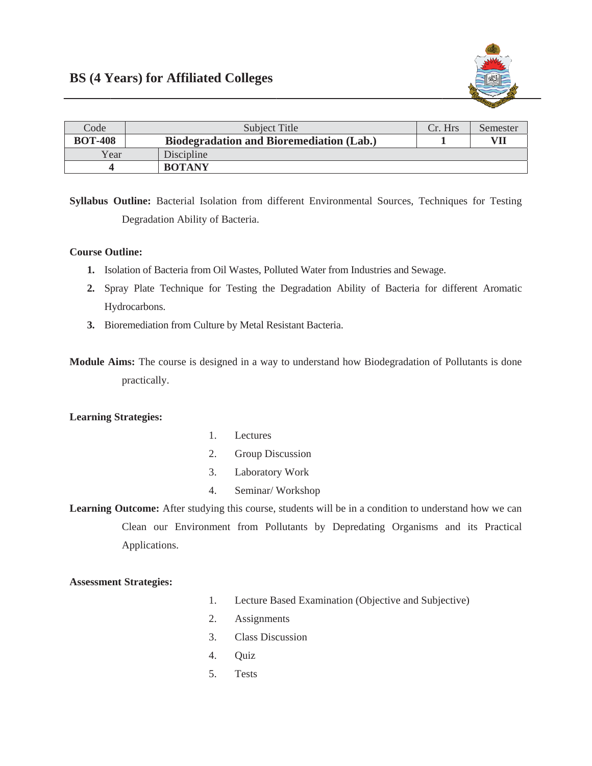

| Code           | Subject Title                                   | Cr. Hrs | Semester |
|----------------|-------------------------------------------------|---------|----------|
| <b>BOT-408</b> | <b>Biodegradation and Bioremediation (Lab.)</b> |         | VII      |
| Year           | Discipline                                      |         |          |
|                | <b>BOTANY</b>                                   |         |          |

Syllabus Outline: Bacterial Isolation from different Environmental Sources, Techniques for Testing Degradation Ability of Bacteria.

## **Course Outline:**

- 1. Isolation of Bacteria from Oil Wastes, Polluted Water from Industries and Sewage.
- 2. Spray Plate Technique for Testing the Degradation Ability of Bacteria for different Aromatic Hydrocarbons.
- 3. Bioremediation from Culture by Metal Resistant Bacteria.
- **Module Aims:** The course is designed in a way to understand how Biodegradation of Pollutants is done practically.

## **Learning Strategies:**

- $1.$ Lectures
- $2.$ Group Discussion
- $\mathfrak{Z}$ . Laboratory Work
- $4.$ Seminar/Workshop

Learning Outcome: After studying this course, students will be in a condition to understand how we can Clean our Environment from Pollutants by Depredating Organisms and its Practical Applications.

## **Assessment Strategies:**

- Lecture Based Examination (Objective and Subjective) 1.
- $2.$ Assignments
- **Class Discussion**  $3.$
- $4.$ Ouiz
- 5. Tests